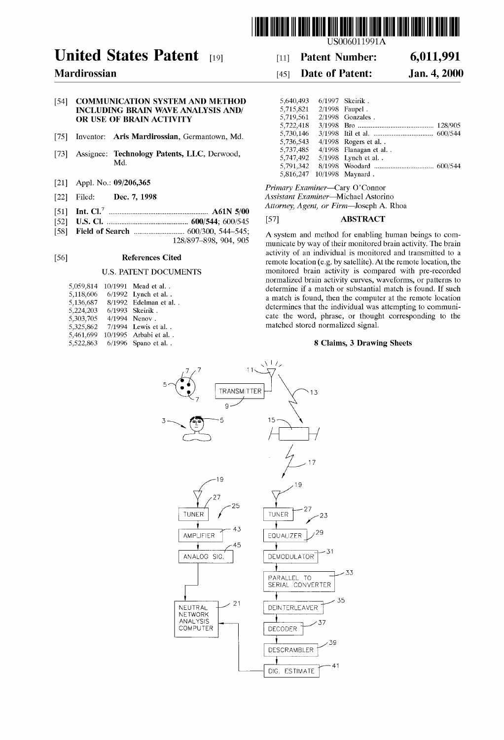

# United States Patent [19]

Mardirossian

# 54) COMMUNICATION SYSTEM AND METHOD INCLUDING BRAIN WAVE ANALYSIS AND/ OR USE OF BRAIN ACTIVITY 54 COMMUNICATION SYSTEM AND METHOD<br>
INCLUDING BRAIN WAVE ANALYSIS AND/<br>
S,715,82<br>
OR USE OF BRAIN ACTIVITY<br>
To strive of BRAIN ACTIVITY<br>
To strive of BRAIN ACTIVITY<br>
To strive of the strive of strive of strive of strive o

- [75] Inventor: Aris Mardirossian, Germantown, Md.
- [73] Assignee: Technology Patents, LLC, Derwood, Md.
- [21] Appl. No.: 09/206,365
- [22] Filed: **Dec. 7, 1998**
- 
- 52 U.S. Cl. ............................................. 600/544; 600/545
- 58 Field of Search ............................ 600/300, 544-545; 128/897-898, 904, 905

#### 56) References Cited

#### U.S. PATENT DOCUMENTS

| 5,059,814 | 10/1991 Mead et al. .   |
|-----------|-------------------------|
| 5,118,606 | 6/1992 Lynch et al. .   |
| 5,136,687 | 8/1992 Edelman et al. . |
| 5,224,203 | 6/1993 Skeirik.         |
| 5,303,705 | 4/1994 Nenov.           |
| 5,325,862 | 7/1994 Lewis et al. .   |
| 5,461,699 | 10/1995 Arbabi et al. . |
| 5,522,863 | 6/1996 Spano et al. .   |

# [11] **Patent Number:** 6,011,991

## [45] **Date of Patent:** Jan. 4, 2000

| 5,640,493 | 6/1997 Skeirik.         |  |
|-----------|-------------------------|--|
| 5,715,821 | 2/1998 Faupel.          |  |
| 5,719,561 | $2/1998$ Gonzales.      |  |
| 5,722,418 |                         |  |
| 5,730,146 |                         |  |
| 5,736,543 | $4/1998$ Rogers et al   |  |
| 5,737,485 | $4/1998$ Flanagan et al |  |
| 5,747,492 | $5/1998$ Lynch et al    |  |
| 5.791.342 |                         |  |
| 5,816,247 | 10/1998 Maynard.        |  |

Primary Examiner-Cary O'Connor

Assistant Examiner-Michael Astorino

Attorney, Agent, or Firm-Joseph A. Rhoa

#### [57] **ABSTRACT**

A System and method for enabling human beings to com municate by way of their monitored brain activity. The brain activity of an individual is monitored and transmitted to a remote location (e.g. by Satellite). At the remote location, the monitored brain activity is compared with pre-recorded normalized brain activity curves, waveforms, or patterns to determine if a match or substantial match is found. If such a match is found, then the computer at the remote location determines that the individual was attempting to communi cate the word, phrase, or thought corresponding to the matched stored normalized signal.

#### 8 Claims, 3 Drawing Sheets

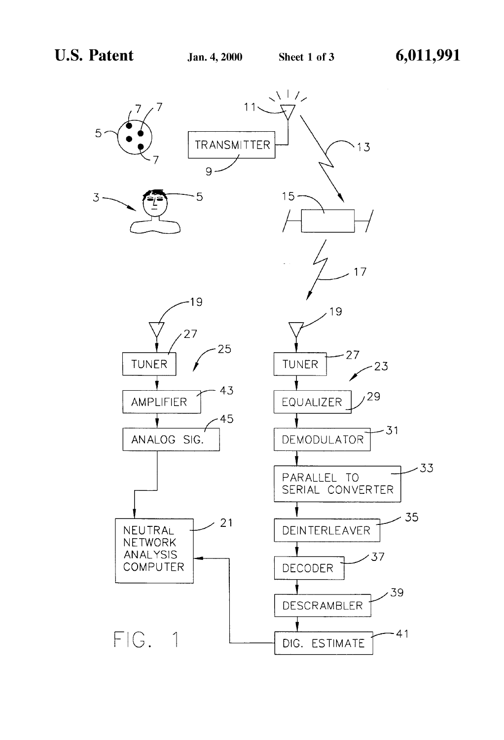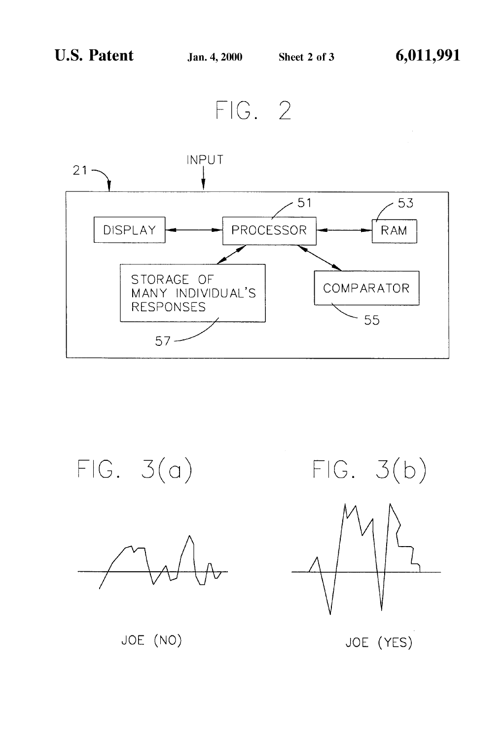FIG. 2



 $FIG. 3(a)$ 



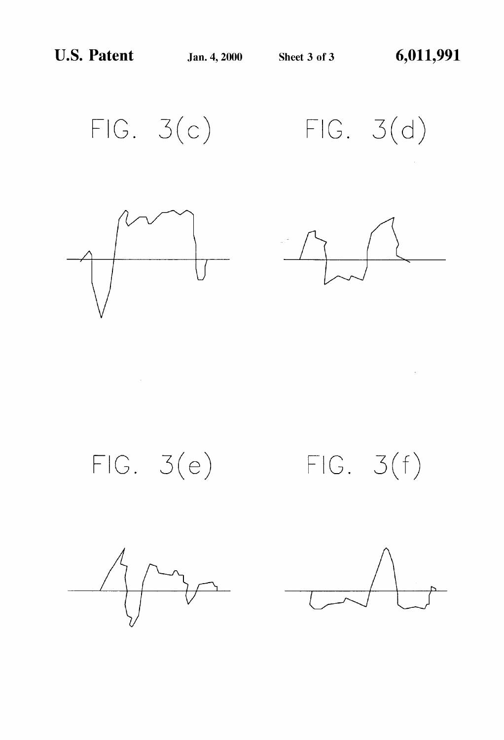





 $\label{eq:2.1} \frac{1}{\sqrt{2}}\int_{\mathbb{R}^3}\frac{1}{\sqrt{2}}\left(\frac{1}{\sqrt{2}}\right)^2\frac{1}{\sqrt{2}}\left(\frac{1}{\sqrt{2}}\right)^2\frac{1}{\sqrt{2}}\left(\frac{1}{\sqrt{2}}\right)^2\frac{1}{\sqrt{2}}\left(\frac{1}{\sqrt{2}}\right)^2.$ 





 $\label{eq:2.1} \frac{1}{\sqrt{2}}\int_{\mathbb{R}^3}\frac{1}{\sqrt{2}}\left(\frac{1}{\sqrt{2}}\right)^2\frac{1}{\sqrt{2}}\left(\frac{1}{\sqrt{2}}\right)^2\frac{1}{\sqrt{2}}\left(\frac{1}{\sqrt{2}}\right)^2.$ 



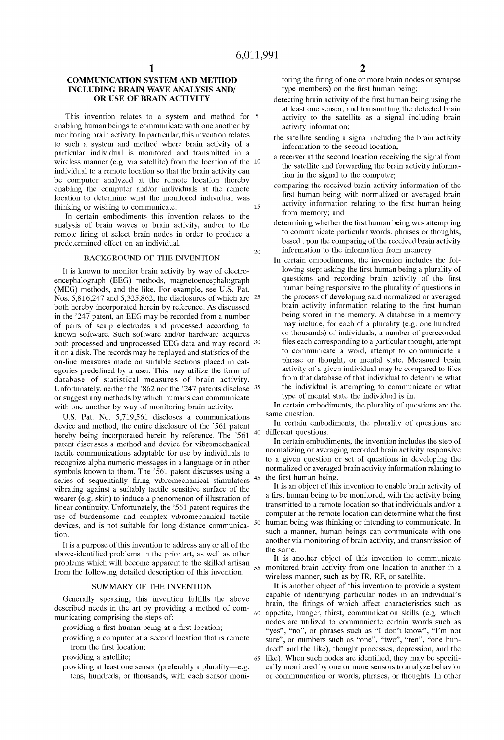20

45

60

#### COMMUNICATION SYSTEM AND METHOD INCLUDING BRAIN WAVE ANALYSIS AND/ OR USE OF BRAIN ACTIVITY

This invention relates to a system and method for 5 enabling human beings to communicate with one another by monitoring brain activity. In particular, this invention relates to Such a System and method where brain activity of a particular individual is monitored and transmitted in a wireless manner (e.g. via satellite) from the location of the 10 individual to a remote location So that the brain activity can be computer analyzed at the remote location thereby enabling the computer and/or individuals at the remote location to determine what the monitored individual was thinking or wishing to communicate. 15

In certain embodiments this invention relates to the analysis of brain waves or brain activity, and/or to the remote firing of Select brain nodes in order to produce a predetermined effect on an individual.

#### BACKGROUND OF THE INVENTION

It is known to monitor brain activity by way of electro encephalograph (EEG) methods, magnetoencephalograph (MEG) methods, and the like. For example, see U.S. Pat. Nos. 5,816,247 and 5,325,862, the disclosures of which are <sup>25</sup> both hereby incorporated herein by reference. AS discussed in the 247 patent, an EEG may be recorded from a number of pairs of scalp electrodes and processed according to known software. Such software and/or hardware acquires both processed and unprocessed EEG data and may record <sup>30</sup> it on a disk. The records may be replayed and Statistics of the on-line measures made on Suitable Sections placed in cat egories predefined by a user. This may utilize the form of database of statistical measures of brain activity. database of statistical measures of brain activity.<br>Unfortunately, neither the '862 nor the '247 patents disclose <sup>35</sup> or Suggest any methods by which humans can communicate with one another by way of monitoring brain activity.

U.S. Pat. No. 5,719,561 discloses a communications device and method, the entire disclosure of the '561 patent hereby being incorporated herein by reference. The '561 patent discusses a method and device for Vibromechanical tactile communications adaptable for use by individuals to recognize alpha numeric messages in a language or in other symbols known to them. The '561 patent discusses using a series of sequentially firing vibromechanical stimulators vibrating against a suitably tactile sensitive surface of the wearer (e.g. skin) to induce a phenomenon of illustration of linear continuity. Unfortunately, the '561 patent requires the use of burdensome and complex Vibromechanical tactile devices, and is not suitable for long distance communica-  $50$ tion.

It is a purpose of this invention to address any or all of the above-identified problems in the prior art, as well as other problems which will become apparent to the skilled artisan from the following detailed description of this invention.

#### SUMMARY OF THE INVENTION

Generally Speaking, this invention fulfills the above described needs in the art by providing a method of com municating comprising the steps of:

providing a first human being at a first location;

providing a computer at a Second location that is remote from the first location;

providing a Satellite;

providing at least one sensor (preferably a plurality—e.g. tens, hundreds, or thousands, with each sensor monitoring the firing of one or more brain nodes or Synapse type members) on the first human being;

- detecting brain activity of the first human being using the at least one sensor, and transmitting the detected brain activity to the Satellite as a signal including brain activity information;
- the Satellite Sending a Signal including the brain activity information to the second location;
- a receiver at the second location receiving the signal from the satellite and forwarding the brain activity information in the signal to the computer;
- comparing the received brain activity information of the first human being with normalized or averaged brain activity information relating to the first human being from memory; and
- determining whether the first human being was attempting to communicate particular words, phrases or thoughts, based upon the comparing of the received brain activity information to the information from memory.
- In certain embodiments, the invention includes the fol lowing step: asking the first human being a plurality of questions and recording brain activity of the first human being responsive to the plurality of questions in the process of developing Said normalized or averaged brain activity information relating to the first human being stored in the memory. A database in a memory may include, for each of a plurality (e.g. one hundred or thousands) of individuals, a number of prerecorded files each corresponding to a particular thought, attempt to communicate a word, attempt to communicate a phrase or thought, or mental State. Measured brain activity of a given individual may be compared to files from that database of that individual to determine what the individual is attempting to communicate or what type of mental state the individual is in.

In certain embodiments, the plurality of questions are the same question.

40 different questions. In certain embodiments, the plurality of questions are

In certain embodiments, the invention includes the Step of normalizing or averaging recorded brain activity responsive to a given question or Set of questions in developing the normalized or averaged brain activity information relating to the first human being.

It is an object of this invention to enable brain activity of a first human being to be monitored, with the activity being transmitted to a remote location So that individuals and/or a computer at the remote location can determine what the first human being was thinking or intending to communicate. In such a manner, human beings can communicate with one another via monitoring of brain activity, and transmission of the same.

55 monitored brain activity from one location to another in a It is another object of this invention to communicate wireless manner, such as by IR, RF, or satellite.

65 like). When such nodes are identified, they may be specifi-It is another object of this invention to provide a System capable of identifying particular nodes in an individual's brain, the firings of which affect characteristics Such as appetite, hunger, thirst, communication skills (e.g. which nodes are utilized to communicate certain words Such as "yes", "no", or phrases such as "I don't know", "I'm not sure", or numbers such as "one", "two", "ten", "one hundred" and the like), thought processes, depression, and the cally monitored by one or more sensors to analyze behavior or communication or words, phrases, or thoughts. In other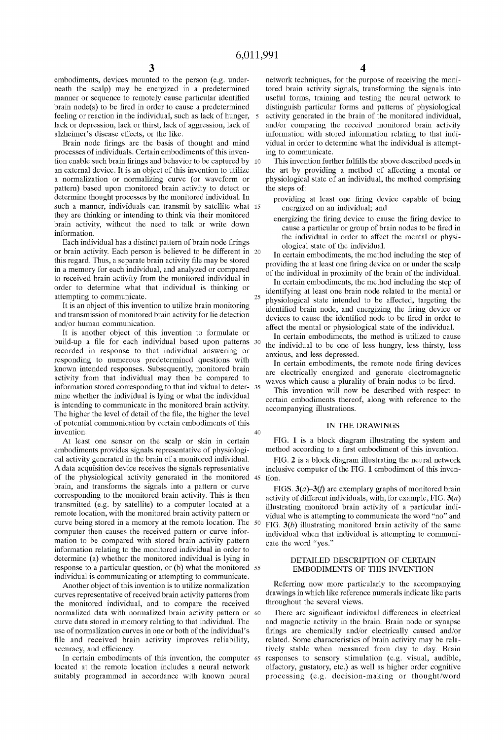$\overline{5}$ 

embodiments, devices mounted to the person (e.g. under neath the Scalp) may be energized in a predetermined manner or sequence to remotely cause particular identified<br>brain node(s) to be fired in order to cause a predetermined feeling or reaction in the individual, such as lack of hunger, lack or depression, lack or thirst, lack of aggression, lack of alzheimer's disease effects, or the like.

Brain node firings are the basis of thought and mind processes of individuals. Certain embodiments of this inven tion enable Such brain firings and behavior to be captured by 1O an external device. It is an object of this invention to utilize a normalization or normalizing curve (or waveform or pattern) based upon monitored brain activity to detect or determine thought processes by the monitored individual. In Such a manner, individuals can transmit by Satellite what 15 they are thinking or intending to think via their monitored brain activity, without the need to talk or write down information.

Each individual has a distinct pattern of brain node firings or brain activity. Each person is believed to be different in this regard. Thus, a separate brain activity file may be Stored in a memory for each individual, and analyzed or compared to received brain activity from the monitored individual in order to determine what that individual is thinking or attempting to communicate. 25

It is an object of this invention to utilize brain monitoring and transmission of monitored brain activity for lie detection and/or human communication.

It is another object of this invention to formulate or build-up a file for each individual based upon patterns recorded in response to that individual answering or responding to numerous predetermined questions with known intended responses. Subsequently, monitored brain activity from that individual may then be compared to information stored corresponding to that individual to deter- 35 mine whether the individual is lying or what the individual is intending to communicate in the monitored brain activity. The higher the level of detail of the file, the higher the level of potential communication by certain embodiments of this invention.

At least one sensor on the scalp or skin in certain embodiments provides signals representative of physiologi cal activity generated in the brain of a monitored individual. A data acquisition device receives the Signals representative of the physiological activity generated in the monitored 45 tion. brain, and transforms the Signals into a pattern or curve corresponding to the monitored brain activity. This is then transmitted (e.g. by Satellite) to a computer located at a remote location, with the monitored brain activity pattern or curve being Stored in a memory at the remote location. The 50 computer then causes the received pattern or curve infor mation to be compared with Stored brain activity pattern information relating to the monitored individual in order to determine (a) whether the monitored individual is lying in response to a particular question, or (b) what the monitored 55 individual is communicating or attempting to communicate.

Another object of this invention is to utilize normalization curves representative of received brain activity patterns from the monitored individual, and to compare the received normalized data with normalized brain activity pattern or curve data stored in memory relating to that individual. The use of normalization curves in one or both of the individual's file and received brain activity improves reliability, accuracy, and efficiency. 60

In certain embodiments of this invention, the computer 65 located at the remote location includes a neural network suitably programmed in accordance with known neural

network techniques, for the purpose of receiving the moni tored brain activity signals, transforming the signals into useful forms, training and testing the neural network to distinguish particular forms and patterns of physiological activity generated in the brain of the monitored individual, and/or comparing the received monitored brain activity information with Stored information relating to that indi vidual in order to determine what the individual is attempting to communicate.

This invention further fulfills the above described needs in the art by providing a method of affecting a mental or physiological State of an individual, the method comprising the steps of:

- providing at least one firing device capable of being energized on an individual; and
	- energizing the firing device to cause the firing device to cause a particular or group of brain nodes to be fired in the individual in order to affect the mental or physiological state of the individual.

In certain embodiments, the method including the Step of providing the at least one firing device on or under the Scalp of the individual in proximity of the brain of the individual.

In certain embodiments, the method including the Step of identifying at least one brain node related to the mental or physiological State intended to be affected, targeting the identified brain node, and energizing the firing device or devices to cause the identified node to be fired in order to affect the mental or physiological State of the individual.

In certain embodiments, the method is utilized to cause the individual to be one of less hungry, less thirsty, less anxious, and less depressed.

In certain embodiments, the remote node firing devices are electrically energized and generate electromagnetic waves which cause a plurality of brain nodes to be fired.

This invention will now be described with respect to certain embodiments thereof, along with reference to the accompanying illustrations.

#### IN THE DRAWINGS

40 FIG. 1 is a block diagram illustrating the system and method according to a first embodiment of this invention.

FIG. 2 is a block diagram illustrating the neural network inclusive computer of the FIG. 1 embodiment of this inven

FIGS.  $3(a) - 3(f)$  are exemplary graphs of monitored brain activity of different individuals, with, for example, FIG.  $3(a)$ illustrating monitored brain activity of a particular individual who is attempting to communicate the word "no' and FIG.  $3(b)$  illustrating monitored brain activity of the same individual when that individual is attempting to communi cate the word "yes."

#### DETAILED DESCRIPTION OF CERTAIN EMBODIMENTS OF THIS INVENTION

Referring now more particularly to the accompanying drawings in which like reference numerals indicate like parts throughout the several views.

There are significant individual differences in electrical and magnetic activity in the brain. Brain node or synapse firings are chemically and/or electrically caused and/or related. Some characteristics of brain activity may be rela tively stable when measured from day to day. Brain responses to sensory stimulation (e.g. visual, audible, olfactory, gustatory, etc.) as well as higher order cognitive processing (e.g. decision-making or thought/word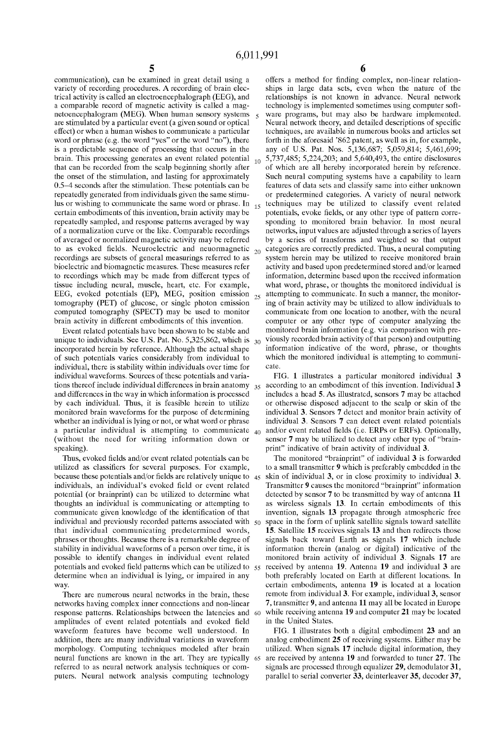15

 $10<sup>10</sup>$ 

35

communication), can be examined in great detail using a variety of recording procedures. A recording of brain elec trical activity is called an electroencephalograph (EEG), and<br>a comparable record of magnetic activity is called a magnetoencephalogram (MEG). When human sensory systems are stimulated by a particular event (a given sound or optical effect) or when a human wishes to communicate a particular word or phrase (e.g. the word "yes" or the word "no"), there is a predictable sequence of processing that occurs in the brain. This processing generates an event related potential that can be recorded from the Scalp beginning shortly after the onset of the Stimulation, and lasting for approximately 0.5–4 seconds after the stimulation. These potentials can be repeatedly generated from individuals given the same stimulus or wishing to communicate the same word or phrase. In certain embodiments of this invention, brain activity may be repeatedly Sampled, and response patterns averaged by way of a normalization curve or the like. Comparable recordings of averaged or normalized magnetic activity may be referred<br>to as evoked fields. Neuroelectric and neuormagnetic  $_{20}$ recordings are subsets of general measurings referred to as bioelectric and biomagnetic measures. These measures refer to recordings which may be made from different types of tissue including neural, muscle, heart, etc. For example, EEG, evoked potentials (EP), MEG, position emission  $_{25}$ tomography (PET) of glucose, or single photon emission computed tomography (SPECT) may be used to monitor brain activity in different embodiments of this invention.

Event related potentials have been shown to be stable and unique to individuals. See U.S. Pat. No. 5,325,862, which is incorporated herein by reference. Although the actual shape of Such potentials varies considerably from individual to individual, there is stability within individuals over time for individual waveforms. Sources of these potentials and varia tions thereof include individual differences in brain anatomy and differences in the way in which information is processed by each individual. Thus, it is feasible herein to utilize monitored brain waveforms for the purpose of determining whether an individual is lying or not, or what word or phrase a particular individual is attempting to communicate (without the need for writing information down or speaking).

Thus, evoked fields and/or event related potentials can be utilized as classifiers for several purposes. For example, because these potentials and/or fields are relatively unique to 45 individuals, an individual's evoked field or event related potential (or brainprint) can be utilized to determine what thoughts an individual is communicating or attempting to communicate given knowledge of the identification of that individual and previously recorded patterns associated with 50 that individual communicating predetermined words, phrases or thoughts. Because there is a remarkable degree of stability in individual waveforms of a person over time, it is possible to identify changes in individual event related potentials and evoked field patterns which can be utilized to 55 determine when an individual is lying, or impaired in any way.

There are numerous neural networks in the brain, these networks having complex inner connections and non-linear response patterns. Relationships between the latencies and amplitudes of event related potentials and evoked field waveform features have become well understood. In addition, there are many individual variations in waveform morphology. Computing techniques modeled after brain referred to as neural network analysis techniques or computers. Neural network analysis computing technology 60 neural functions are known in the art. They are typically 65

offers a method for finding complex, non-linear relation ships in large data Sets, even when the nature of the relationships is not known in advance. Neural network technology is implemented sometimes using computer software programs, but may also be hardware implemented. Neural network theory, and detailed descriptions of specific techniques, are available in numerous books and articles set forth in the aforesaid '862 patent, as well as in, for example, any of U.S. Pat. Nos. 5,136,687; 5,059,814; 5,461,699; 5,737,485; 5,224.203; and 5,640,493, the entire disclosures of which are all hereby incorporated herein by reference. Such neural computing systems have a capability to learn features of data sets and classify same into either unknown or predetermined categories. A variety of neural network techniques may be utilized to classify event related potentials, evoke fields, or any other type of pattern corre sponding to monitored brain behavior. In most neural networks, input values are adjusted through a Series of layers categories are correctly predicted. Thus, a neural computing system herein may be utilized to receive monitored brain activity and based upon predetermined Stored and/or learned information, determine based upon the received information what word, phrase, or thoughts the monitored individual is attempting to communicate. In Such a manner, the monitor ing of brain activity may be utilized to allow individuals to communicate from one location to another, with the neural computer or any other type of computer analyzing the monitored brain information (e.g. via comparison with previously recorded brain activity of that person) and outputting information indicative of the word, phrase, or thoughts which the monitored individual is attempting to communi-Cate.

 $_{40}$  and/or event related fields (i.e. ERPs or ERFs). Optionally, FIG. 1 illustrates a particular monitored individual 3 according to an embodiment of this invention. Individual 3 includes a head 5. As illustrated, sensors 7 may be attached or otherwise disposed adjacent to the Scalp or skin of the individual 3. Sensors 7 detect and monitor brain activity of individual 3. Sensors 7 can detect event related potentials sensor 7 may be utilized to detect any other type of "brain print" indicative of brain activity of individual 3.

The monitored "brainprint" of individual 3 is forwarded to a small transmitter 9 which is preferably embedded in the skin of individual 3, or in close proximity to individual 3. Transmitter 9 causes the monitored "brainprint" information detected by sensor 7 to be transmitted by way of antenna 11 as wireless signals 13. In certain embodiments of this invention, signals 13 propagate through atmospheric free space in the form of uplink satellite signals toward satellite 15. Satellite 15 receives signals 13 and then redirects those signals back toward Earth as signals 17 which include information therein (analog or digital) indicative of the monitored brain activity of individual 3. Signals 17 are received by antenna 19. Antenna 19 and individual 3 are both preferably located on Earth at different locations. In certain embodiments, antenna 19 is located at a location remote from individual 3. For example, individual 3, sensor<br>7, transmitter 9, and antenna 11 may all be located in Europe while receiving antenna 19 and computer 21 may be located in the United States.

FIG. 1 illustrates both a digital embodiment 23 and an analog embodiment 25 of receiving Systems. Either may be utilized. When signals 17 include digital information, they are received by antenna 19 and forwarded to tuner 27. The signals are processed through equalizer 29, demodulator 31, parallel to serial converter 33, deinterleaver 35, decoder 37,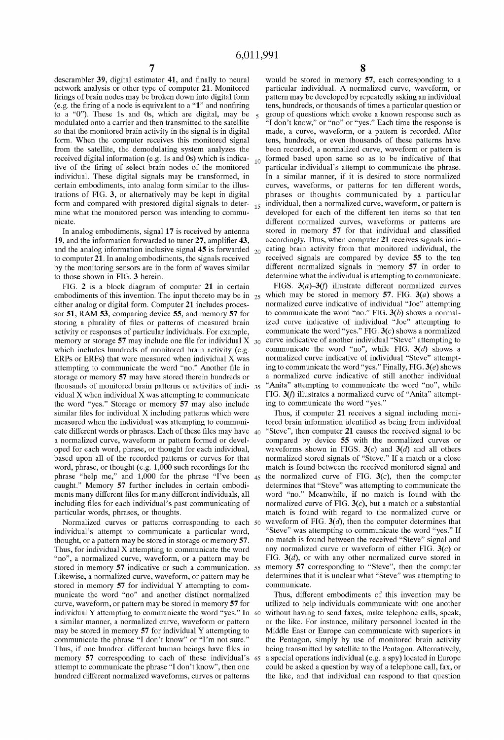descrambler 39, digital estimator 41, and finally to neural network analysis or other type of computer 21. Monitored firings of brain nodes may be broken down into digital form (e.g. the firing of a node is equivalent to a "1" and nonfiring to a "0"). These 1s and 0s, which are digital, may be modulated onto a carrier and then transmitted to the Satellite so that the monitored brain activity in the signal is in digital form. When the computer receives this monitored signal from the satellite, the demodulating system analyzes the received digital information (e.g. 1S and 0s) which is indica tive of the firing of select brain nodes of the monitored individual. These digital signals may be transformed, in certain embodiments, into analog form similar to the illustrations of FIG. 3, or alternatively may be kept in digital form and compared with prestored digital signals to determine what the monitored person was intending to commu nicate. 15

In analog embodiments, signal 17 is received by antenna 19, and the information forwarded to tuner 27, amplifier 43, and the analog information inclusive signal 45 is forwarded  $_{20}$ to computer 21. In analog embodiments, the signals received by the monitoring sensors are in the form of waves similar to those shown in FIG. 3 herein.

FIG. 2 is a block diagram of computer 21 in certain embodiments of this invention. The input thereto may be in  $25$ either analog or digital form. Computer 21 includes proces sor 51, RAM 53, comparing device 55, and memory 57 for storing a plurality of files or patterns of measured brain activity or responses of particular individuals. For example, memory or storage 57 may include one file for individual X  $_{30}$ which includes hundreds of monitored brain activity (e.g. ERPs or ERFs) that were measured when individual X was attempting to communicate the word "no." Another file in storage or memory 57 may have stored therein hundreds or thousands of monitored brain patterns or activities of indi vidual X when individual X was attempting to communicate the word "yes." Storage or memory 57 may also include similar files for individual X including patterns which were measured when the individual was attempting to communi cate different words or phrases. Each of these files may have  $40<sub>10</sub>$ a normalized curve, waveform or pattern formed or devel oped for each word, phrase, or thought for each individual, based upon all of the recorded patterns or curves for that word, phrase, or thought (e.g.  $1,000$  such recordings for the phrase "help me," and 1,000 for the phrase "I've been 45 caught." Memory 57 further includes in certain embodi ments many different files for many different individuals, all including files for each individual's past communicating of particular words, phrases, or thoughts. 35

Normalized curves or patterns corresponding to each 50 individual's attempt to communicate a particular word, thought, or a pattern may be stored in storage or memory 57. Thus, for individual X attempting to communicate the word "no', a normalized curve, waveform, or a pattern may be Stored in memory 57 indicative or Such a communication. 55 Likewise, a normalized curve, waveform, or pattern may be stored in memory 57 for individual Y attempting to com municate the word "no" and another distinct normalized curve, waveform, or pattern may be stored in memory 57 for individual Y attempting to communicate the word "yes." In a similar manner, a normalized curve, waveform or pattern may be stored in memory 57 for individual Y attempting to communicate the phrase "I don't know' or "I'm not sure." Thus, if one hundred different human beings have files in memory 57 corresponding to each of these individual's 65 attempt to communicate the phrase "I don't know', then one hundred different normalized waveforms, curves or patterns 60

8

would be Stored in memory 57, each corresponding to a particular individual. A normalized curve, waveform, or pattern may be developed by repeatedly asking an individual tens, hundreds, or thousands of times a particular question or group of questions which evoke a known response Such as "I don't know," or "no" or "yes." Each time the response is made, a curve, waveform, or a pattern is recorded. After tens, hundreds, or even thousands of these patterns have been recorded, a normalized curve, waveform or pattern is  $_{10}$  formed based upon same so as to be indicative of that particular individual's attempt to communicate the phrase. In a similar manner, if it is desired to store normalized curves, waveforms, or patterns for ten different words, phrases or thoughts communicated by a particular individual, then a normalized curve, waveform, or pattern is developed for each of the different ten items so that ten different normalized curves, waveforms or patterns are stored in memory 57 for that individual and classified accordingly. Thus, when computer 21 receives signals indicating brain activity from that monitored individual, the received signals are compared by device 55 to the ten different normalized signals in memory 57 in order to determine what the individual is attempting to communicate.

FIGS.  $3(a)-3(f)$  illustrate different normalized curves which may be stored in memory 57. FIG.  $3(a)$  shows a normalized curve indicative of individual "Joe" attempting to communicate the word "no." FIG.  $3(b)$  shows a normalized curve indicative of individual "Joe" attempting to communicate the word "yes." FIG.  $3(c)$  shows a normalized curve indicative of another individual "Steve' attempting to communicate the word "no", while FIG.  $3(d)$  shows a normalized curve indicative of individual "Steve" attempting to communicate the word "yes." Finally, FIG.  $3(e)$  shows a normalized curve indicative of still another individual "Anita" attempting to communicate the word "no", while FIG. 3(f) illustrates a normalized curve of "Anita" attempting to communicate the word "yes."

Thus, if computer 21 receives a signal including moni tored brain information identified as being from individual "Steve', then computer 21 causes the received signal to be compared by device 55 with the normalized curves or waveforms shown in FIGS.  $3(c)$  and  $3(d)$  and all others normalized stored signals of "Steve." If a match or a close match is found between the received monitored signal and determines that "Steve" was attempting to communicate the word "no." Meanwhile, if no match is found with the normalized curve of FIG.  $3(c)$ , but a match or a substantial match is found with regard to the normalized curve or waveform of FIG.  $3(d)$ , then the computer determines that "Steve' was attempting to communicate the word "yes." If no match is found between the received "Steve' signal and any normalized curve or waveform of either FIG.  $3(c)$  or FIG. 3(d), or with any other normalized curve stored in memory 57 corresponding to "Steve', then the computer determines that it is unclear what "Steve' was attempting to communicate.

Thus, different embodiments of this invention may be utilized to help individuals communicate with one another without having to send faxes, make telephone calls, speak, or the like. For instance, military personnel located in the Middle East or Europe can communicate with superiors in the Pentagon, simply by use of monitored brain activity being transmitted by satellite to the Pentagon. Alternatively, a special operations individual (e.g. a spy) located in Europe could be asked a question by way of a telephone call, fax, or the like, and that individual can respond to that question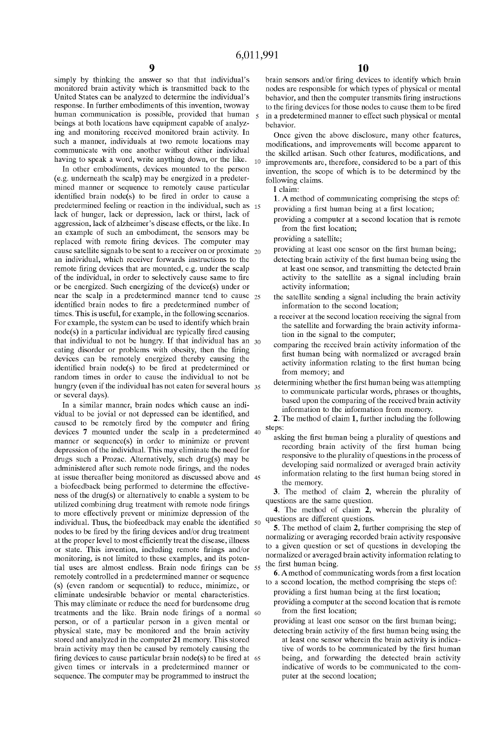simply by thinking the answer so that that individual's monitored brain activity which is transmitted back to the United States can be analyzed to determine the individual's response. In further embodiments of this invention, two way human communication is possible, provided that human  $5$ beings at both locations have equipment capable of analyzing and monitoring received monitored brain activity. In such a manner, individuals at two remote locations may communicate with one another without either individual  $10$ 

having to speak a word, write anything down, or the like.<br>In other embodiments, devices mounted to the person (e.g. underneath the scalp) may be energized in a predeter-<br>mined manner or sequence to remotely cause particular identified brain node(s) to be fired in order to cause a predetermined leeling or reaction in the individual, such as  $15$ lack of hunger, lack or depression, lack or thirst, lack of aggression, lack of alzheimer's disease effects, or the like. In an example of Such an embodiment, the Sensors may be replaced with remote firing devices. The computer may cause satellite signals to be sent to a receiver on or proximate  $_{20}$ an individual, which receiver forwards instructions to the remote firing devices that are mounted, e.g. under the Scalp of the individual, in order to Selectively cause same to fire or be energized. Such energizing of the device(s) under or near the scalp in a predetermined manner tend to cause  $_{25}$ identified brain nodes to fire a predetermined number of times. This is useful, for example, in the following scenarios. For example, the system can be used to identify which brain node(s) in a particular individual are typically fired causing that individual to not be hungry. If that individual has an  $30$  eating disorder or problems with obesity, then the firing devices can be remotely energized thereby causing the identified brain node(s) to be fired at predetermined or random times in order to cause the individual to not be  $\mu$  hungry (even if the individual has not eaten for several hours  $\frac{35}{35}$ or several days).

In a similar manner, brain nodes which cause an indi vidual to be jovial or not depressed can be identified, and caused to be remotely fired by the computer and firing devices 7 mounted under the Scalp in a predetermined 40 manner or sequence(s) in order to minimize or prevent depression of the individual. This may eliminate the need for drugs such a Prozac. Alternatively, Such drug(s) may be administered after such remote node firings, and the nodes at issue thereafter being monitored as discussed above and 45 a biofeedback being performed to determine the effective ness of the drug(s) or alternatively to enable a system to be utilized combining drug treatment with remote node firings to more effectively prevent or minimize depression of the individual. Thus, the biofeedback may enable the identified 50 nodes to be fired by the firing devices and/or drug treatment at the proper level to most efficiently treat the disease, illness or State. This invention, including remote firings and/or monitoring, is not limited to these examples, and its poten tial uses are almost endless. Brain node firings can be 55 remotely controlled in a predetermined manner or Sequence (S) (even random or Sequential) to reduce, minimize, or eliminate undesirable behavior or mental characteristics. This may eliminate or reduce the need for burdensome drug treatments and the like. Brain node firings of a normal 60 person, or of a particular person in a given mental or physical state, may be monitored and the brain activity stored and analyzed in the computer 21 memory. This stored brain activity may then be caused by remotely causing the  $\pi$  mm are to cause particular brain node(s) to be fired at  $\pi$  65 given times or intervals in a predetermined manner or sequence. The computer may be programmed to instruct the

brain Sensors and/or firing devices to identify which brain nodes are responsible for which types of physical or mental behavior, and then the computer transmits firing instructions to the firing devices for those nodes to cause them to be fired in a predetermined manner to effect Such physical or mental behavior.

Once given the above disclosure, many other features, modifications, and improvements will become apparent to the skilled artisan. Such other features, modifications, and improvements are, therefore, considered to be a part of this invention, the scope of which is to be determined by the following claims.

I claim:

1. A method of communicating comprising the steps of: providing a first human being at a first location;

providing a computer at a second location that is remote from the first location;

providing a Satellite;

providing at least one Sensor on the first human being;

- detecting brain activity of the first human being using the at least one Sensor, and transmitting the detected brain activity to the Satellite as a signal including brain activity information;
- the Satellite Sending a Signal including the brain activity information to the second location;
- a receiver at the second location receiving the signal from the satellite and forwarding the brain activity information in the signal to the computer;
- comparing the received brain activity information of the first human being with normalized or averaged brain activity information relating to the first human being from memory; and
- determining whether the first human being was attempting to communicate particular words, phrases or thoughts, based upon the comparing of the received brain activity information to the information from memory.

2. The method of claim 1, further including the following steps:

asking the first human being a plurality of questions and recording brain activity of the first human being responsive to the plurality of questions in the process of developing Said normalized or averaged brain activity information relating to the first human being stored in the memory.

3. The method of claim 2, wherein the plurality of questions are the same question.

4. The method of claim 2, wherein the plurality of questions are different questions.

5. The method of claim 2, further comprising the step of normalizing or averaging recorded brain activity responsive to a given question or Set of questions in developing the normalized or averaged brain activity information relating to the first human being.

6. A method of communicating words from a first location to a second location, the method comprising the steps of:

- providing a first human being at the first location;
- providing a computer at the Second location that is remote from the first location;

providing at least one Sensor on the first human being;

detecting brain activity of the first human being using the at least one sensor wherein the brain activity is indicative of words to be communicated by the first human being, and forwarding the detected brain activity indicative of words to be communicated to the com puter at the second location: